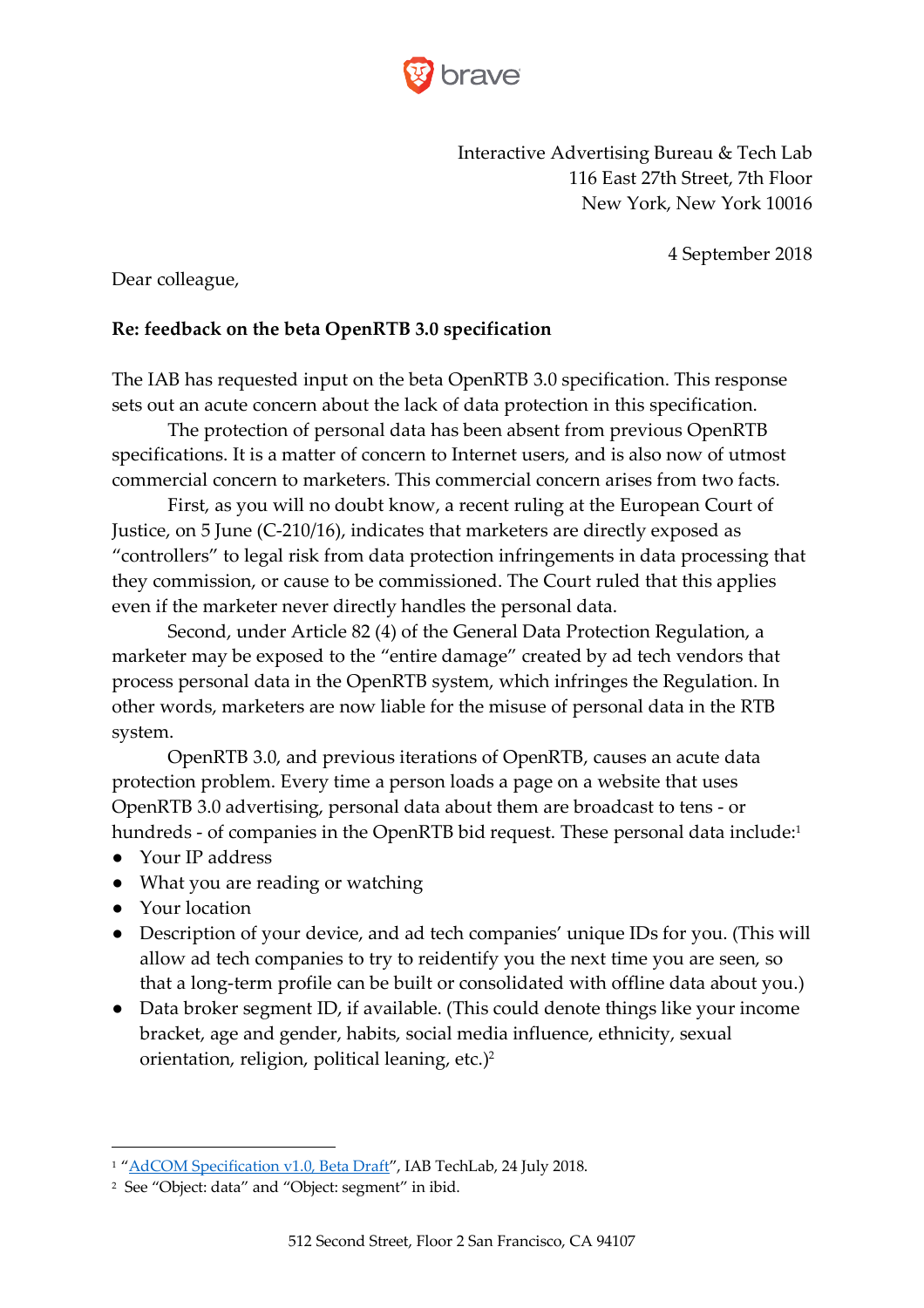

Interactive Advertising Bureau & Tech Lab 116 East 27th Street, 7th Floor New York, New York 10016

4 September 2018

Dear colleague,

### **Re: feedback on the beta OpenRTB 3.0 specification**

The IAB has requested input on the beta OpenRTB 3.0 specification. This response sets out an acute concern about the lack of data protection in this specification.

The protection of personal data has been absent from previous OpenRTB specifications. It is a matter of concern to Internet users, and is also now of utmost commercial concern to marketers. This commercial concern arises from two facts.

First, as you will no doubt know, a recent ruling at the European Court of Justice, on 5 June (C-210/16), indicates that marketers are directly exposed as "controllers" to legal risk from data protection infringements in data processing that they commission, or cause to be commissioned. The Court ruled that this applies even if the marketer never directly handles the personal data.

Second, under Article 82 (4) of the General Data Protection Regulation, a marketer may be exposed to the "entire damage" created by ad tech vendors that process personal data in the OpenRTB system, which infringes the Regulation. In other words, marketers are now liable for the misuse of personal data in the RTB system.

OpenRTB 3.0, and previous iterations of OpenRTB, causes an acute data protection problem. Every time a person loads a page on a website that uses OpenRTB 3.0 advertising, personal data about them are broadcast to tens - or hundreds - of companies in the OpenRTB bid request. These personal data include:<sup>1</sup>

- Your IP address
- What you are reading or watching
- Your location

- Description of your device, and ad tech companies' unique IDs for you. (This will allow ad tech companies to try to reidentify you the next time you are seen, so that a long-term profile can be built or consolidated with offline data about you.)
- Data broker segment ID, if available. (This could denote things like your income bracket, age and gender, habits, social media influence, ethnicity, sexual orientation, religion, political leaning, etc.)2

<sup>&</sup>lt;sup>1</sup> "AdCOM Specification v1.0, Beta Draft", IAB TechLab, 24 July 2018.

<sup>2</sup> See "Object: data" and "Object: segment" in ibid.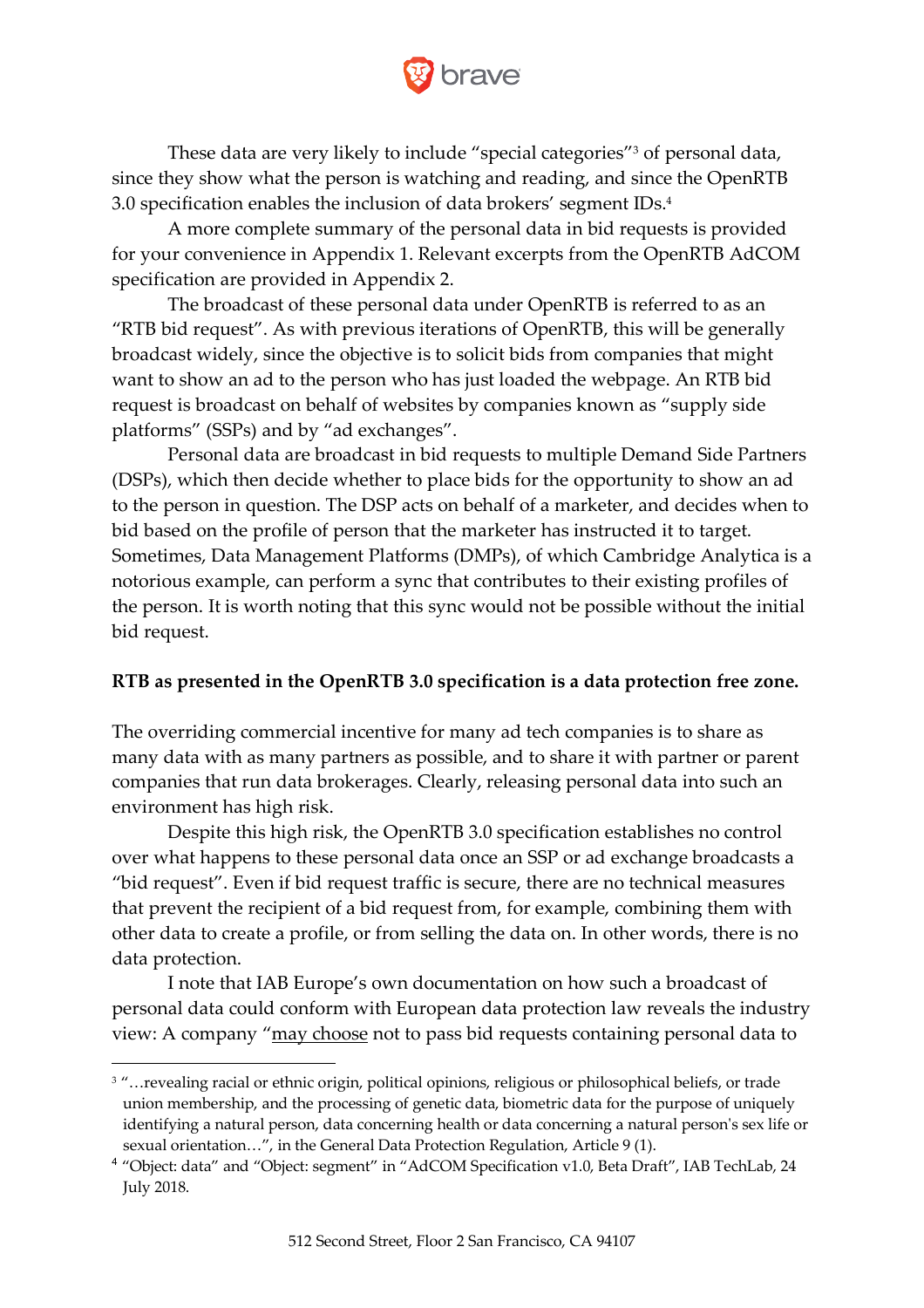

These data are very likely to include "special categories"3 of personal data, since they show what the person is watching and reading, and since the OpenRTB 3.0 specification enables the inclusion of data brokers' segment IDs.4

A more complete summary of the personal data in bid requests is provided for your convenience in Appendix 1. Relevant excerpts from the OpenRTB AdCOM specification are provided in Appendix 2.

The broadcast of these personal data under OpenRTB is referred to as an "RTB bid request". As with previous iterations of OpenRTB, this will be generally broadcast widely, since the objective is to solicit bids from companies that might want to show an ad to the person who has just loaded the webpage. An RTB bid request is broadcast on behalf of websites by companies known as "supply side platforms" (SSPs) and by "ad exchanges".

Personal data are broadcast in bid requests to multiple Demand Side Partners (DSPs), which then decide whether to place bids for the opportunity to show an ad to the person in question. The DSP acts on behalf of a marketer, and decides when to bid based on the profile of person that the marketer has instructed it to target. Sometimes, Data Management Platforms (DMPs), of which Cambridge Analytica is a notorious example, can perform a sync that contributes to their existing profiles of the person. It is worth noting that this sync would not be possible without the initial bid request.

### **RTB as presented in the OpenRTB 3.0 specification is a data protection free zone.**

The overriding commercial incentive for many ad tech companies is to share as many data with as many partners as possible, and to share it with partner or parent companies that run data brokerages. Clearly, releasing personal data into such an environment has high risk.

Despite this high risk, the OpenRTB 3.0 specification establishes no control over what happens to these personal data once an SSP or ad exchange broadcasts a "bid request". Even if bid request traffic is secure, there are no technical measures that prevent the recipient of a bid request from, for example, combining them with other data to create a profile, or from selling the data on. In other words, there is no data protection.

I note that IAB Europe's own documentation on how such a broadcast of personal data could conform with European data protection law reveals the industry view: A company "may choose not to pass bid requests containing personal data to

<sup>&</sup>lt;sup>3</sup> "... revealing racial or ethnic origin, political opinions, religious or philosophical beliefs, or trade union membership, and the processing of genetic data, biometric data for the purpose of uniquely identifying a natural person, data concerning health or data concerning a natural person's sex life or sexual orientation…", in the General Data Protection Regulation, Article 9 (1).

<sup>4</sup> "Object: data" and "Object: segment" in "AdCOM Specification v1.0, Beta Draft", IAB TechLab, 24 July 2018.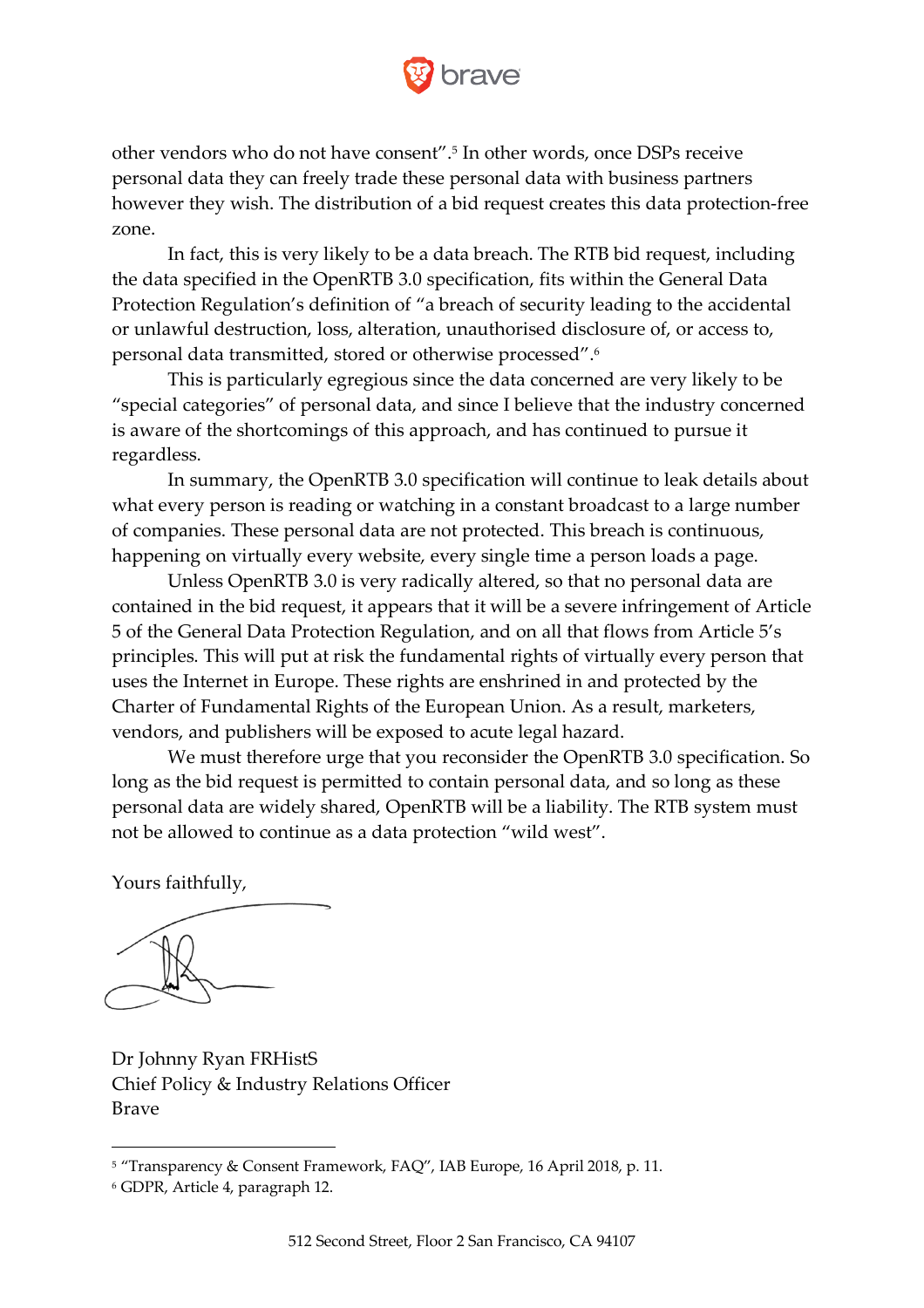

other vendors who do not have consent".5 In other words, once DSPs receive personal data they can freely trade these personal data with business partners however they wish. The distribution of a bid request creates this data protection-free zone.

In fact, this is very likely to be a data breach. The RTB bid request, including the data specified in the OpenRTB 3.0 specification, fits within the General Data Protection Regulation's definition of "a breach of security leading to the accidental or unlawful destruction, loss, alteration, unauthorised disclosure of, or access to, personal data transmitted, stored or otherwise processed".6

This is particularly egregious since the data concerned are very likely to be "special categories" of personal data, and since I believe that the industry concerned is aware of the shortcomings of this approach, and has continued to pursue it regardless.

In summary, the OpenRTB 3.0 specification will continue to leak details about what every person is reading or watching in a constant broadcast to a large number of companies. These personal data are not protected. This breach is continuous, happening on virtually every website, every single time a person loads a page.

Unless OpenRTB 3.0 is very radically altered, so that no personal data are contained in the bid request, it appears that it will be a severe infringement of Article 5 of the General Data Protection Regulation, and on all that flows from Article 5's principles. This will put at risk the fundamental rights of virtually every person that uses the Internet in Europe. These rights are enshrined in and protected by the Charter of Fundamental Rights of the European Union. As a result, marketers, vendors, and publishers will be exposed to acute legal hazard.

We must therefore urge that you reconsider the OpenRTB 3.0 specification. So long as the bid request is permitted to contain personal data, and so long as these personal data are widely shared, OpenRTB will be a liability. The RTB system must not be allowed to continue as a data protection "wild west".

Yours faithfully,

Dr Johnny Ryan FRHistS Chief Policy & Industry Relations Officer Brave

<sup>5</sup> "Transparency & Consent Framework, FAQ", IAB Europe, 16 April 2018, p. 11.

<sup>6</sup> GDPR, Article 4, paragraph 12.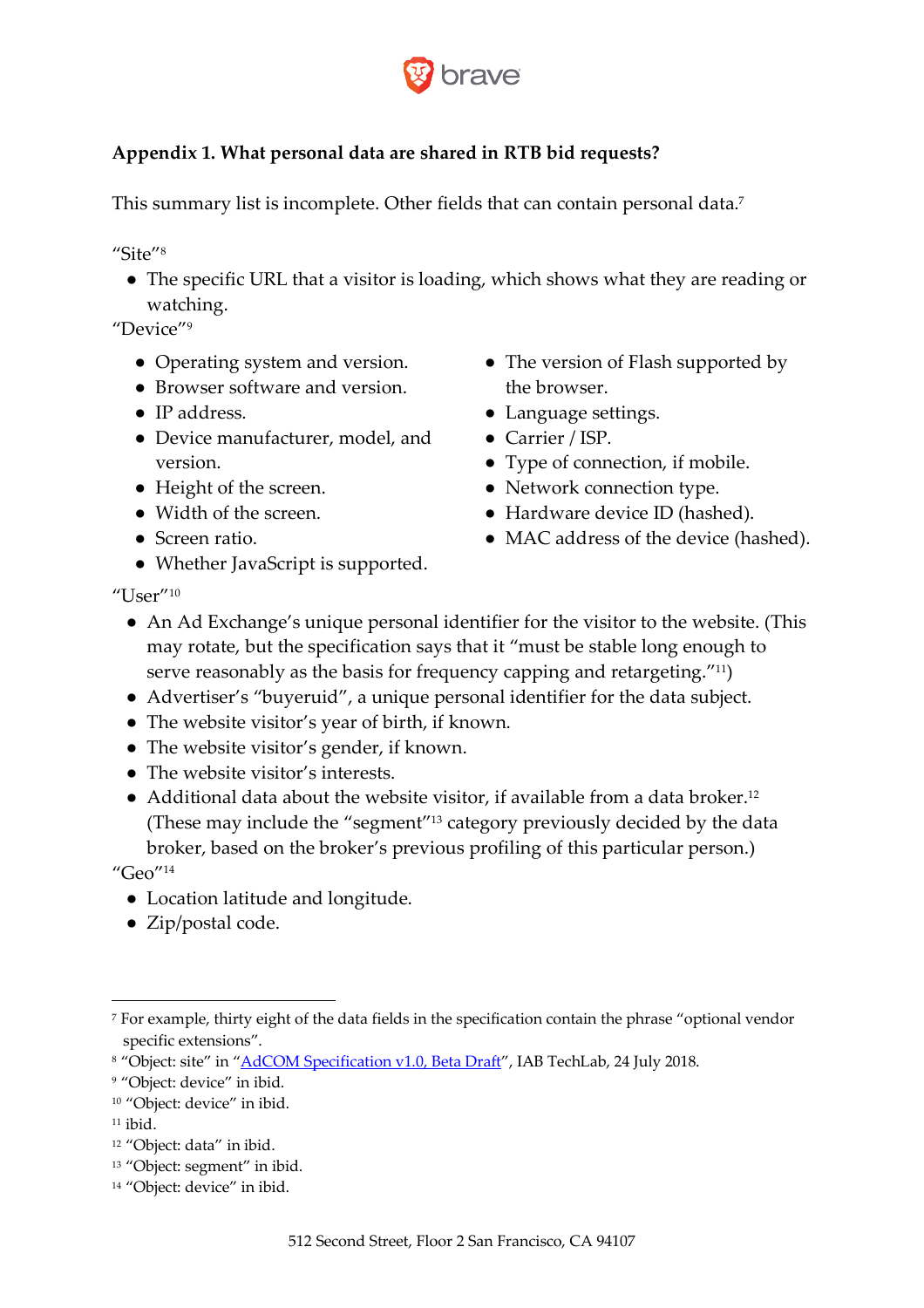

# **Appendix 1. What personal data are shared in RTB bid requests?**

This summary list is incomplete. Other fields that can contain personal data.<sup>7</sup>

"Site"<sup>8</sup>

• The specific URL that a visitor is loading, which shows what they are reading or watching.

"Device"9

- Operating system and version.
- Browser software and version.
- IP address.
- Device manufacturer, model, and version.
- Height of the screen.
- Width of the screen.
- Screen ratio.
- Whether JavaScript is supported.
- The version of Flash supported by the browser.
- Language settings.
- Carrier / ISP.
- Type of connection, if mobile.
- Network connection type.
- Hardware device ID (hashed).
- MAC address of the device (hashed).

"User" $^{10}$ 

- An Ad Exchange's unique personal identifier for the visitor to the website. (This may rotate, but the specification says that it "must be stable long enough to serve reasonably as the basis for frequency capping and retargeting."11)
- Advertiser's "buyeruid", a unique personal identifier for the data subject.
- The website visitor's year of birth, if known.
- The website visitor's gender, if known.
- The website visitor's interests.
- $\bullet$  Additional data about the website visitor, if available from a data broker.<sup>12</sup> (These may include the "segment"13 category previously decided by the data broker, based on the broker's previous profiling of this particular person.) " $Geo$ "<sup>14</sup>
	- Location latitude and longitude.
	- Zip/postal code.

 $\overline{a}$ 

- <sup>13</sup> "Object: segment" in ibid.
- <sup>14</sup> "Object: device" in ibid.

<sup>7</sup> For example, thirty eight of the data fields in the specification contain the phrase "optional vendor specific extensions".

<sup>&</sup>lt;sup>8</sup> "Object: site" in "AdCOM Specification v1.0, Beta Draft", IAB TechLab, 24 July 2018.

<sup>&</sup>lt;sup>9</sup> "Object: device" in ibid.

<sup>&</sup>lt;sup>10</sup> "Object: device" in ibid.

 $11$  ibid.

<sup>&</sup>lt;sup>12</sup> "Object: data" in ibid.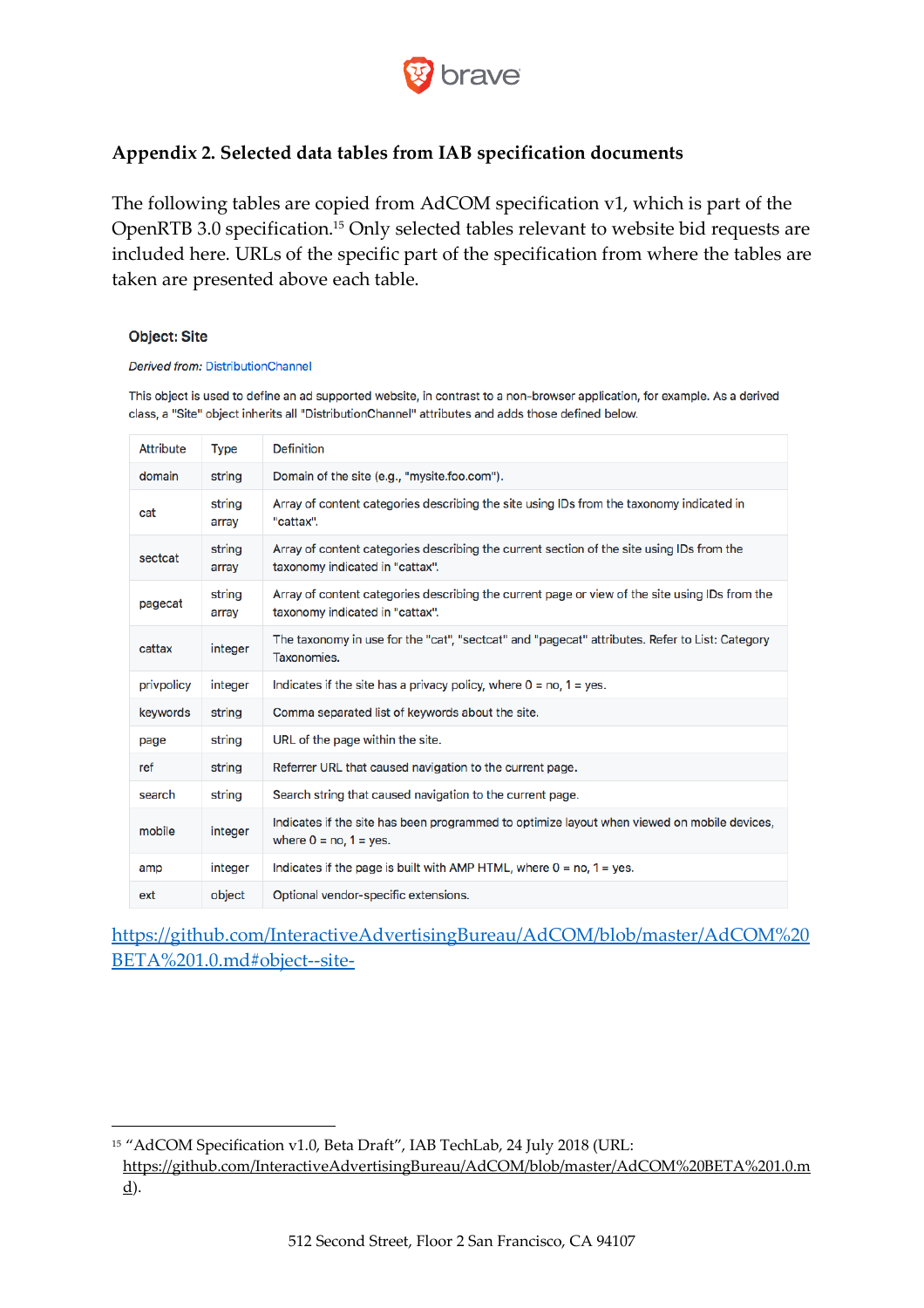

## **Appendix 2. Selected data tables from IAB specification documents**

The following tables are copied from AdCOM specification v1, which is part of the OpenRTB 3.0 specification.15 Only selected tables relevant to website bid requests are included here. URLs of the specific part of the specification from where the tables are taken are presented above each table.

#### **Object: Site**

#### Derived from: DistributionChannel

This object is used to define an ad supported website, in contrast to a non-browser application, for example. As a derived class, a "Site" object inherits all "DistributionChannel" attributes and adds those defined below.

| Attribute  | <b>Type</b>     | <b>Definition</b>                                                                                                                         |
|------------|-----------------|-------------------------------------------------------------------------------------------------------------------------------------------|
| domain     | string          | Domain of the site (e.g., "mysite.foo.com").                                                                                              |
| cat        | string<br>array | Array of content categories describing the site using IDs from the taxonomy indicated in<br>"cattax".                                     |
| sectcat    | string<br>array | Array of content categories describing the current section of the site using IDs from the<br>taxonomy indicated in "cattax".              |
| pagecat    | string<br>array | Array of content categories describing the current page or view of the site using IDs from the<br>taxonomy indicated in "cattax".         |
| cattax     | integer         | The taxonomy in use for the "cat", "sectcat" and "pagecat" attributes. Refer to List: Category<br>Taxonomies.                             |
| privpolicy | integer         | Indicates if the site has a privacy policy, where $0 = \text{no}$ , $1 = \text{yes}$ .                                                    |
| keywords   | string          | Comma separated list of keywords about the site.                                                                                          |
| page       | string          | URL of the page within the site.                                                                                                          |
| ref        | string          | Referrer URL that caused navigation to the current page.                                                                                  |
| search     | string          | Search string that caused navigation to the current page.                                                                                 |
| mobile     | integer         | Indicates if the site has been programmed to optimize layout when viewed on mobile devices,<br>where $0 = \text{no}$ , $1 = \text{yes}$ . |
| amp        | integer         | Indicates if the page is built with AMP HTML, where $0 = \text{no}$ , $1 = \text{yes}$ .                                                  |
| ext        | object          | Optional vendor-specific extensions.                                                                                                      |

https://github.com/InteractiveAdvertisingBureau/AdCOM/blob/master/AdCOM%20 BETA%201.0.md#object--site-

<sup>15</sup> "AdCOM Specification v1.0, Beta Draft", IAB TechLab, 24 July 2018 (URL:

https://github.com/InteractiveAdvertisingBureau/AdCOM/blob/master/AdCOM%20BETA%201.0.m  $\underline{d}$ .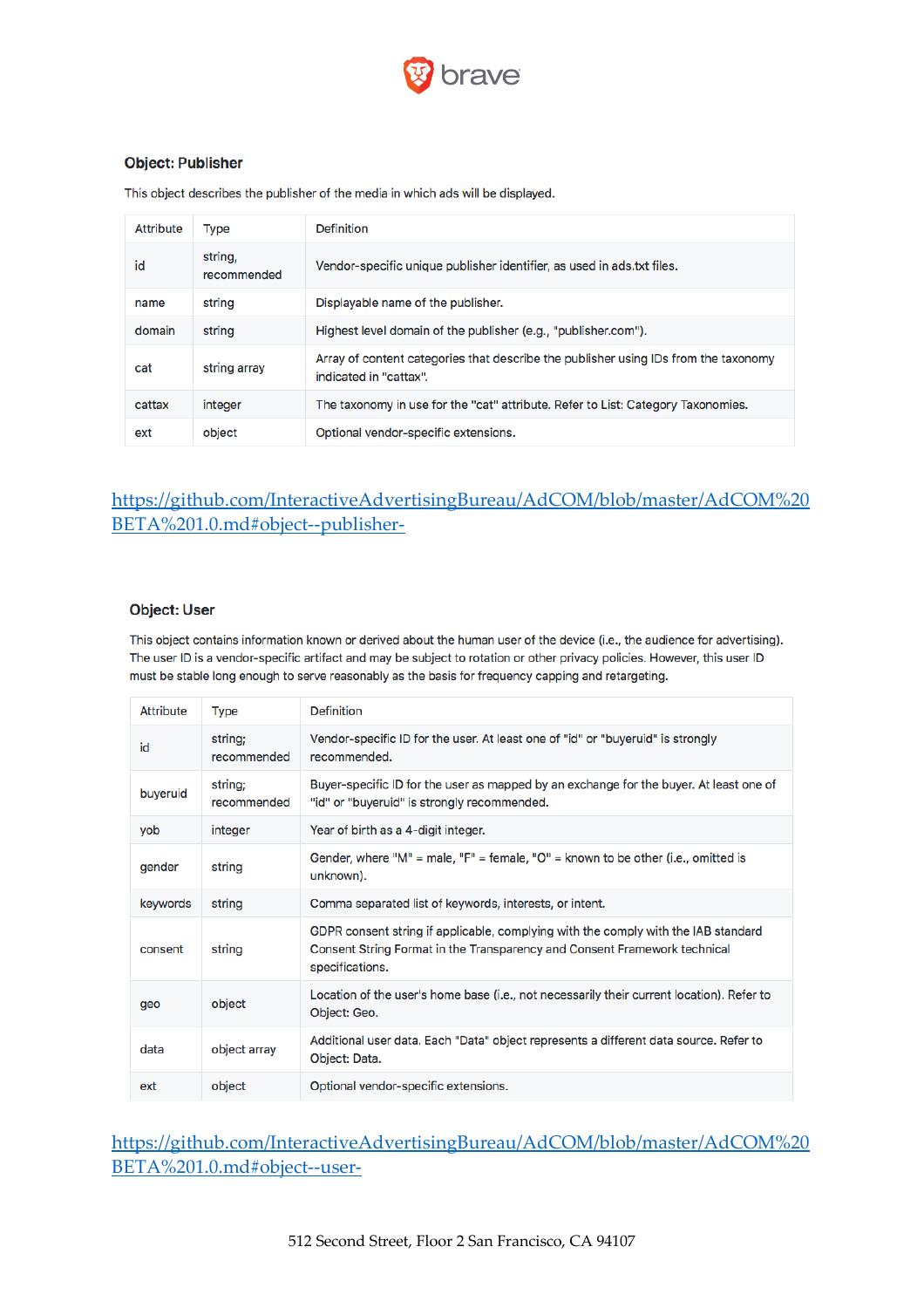

#### **Object: Publisher**

This object describes the publisher of the media in which ads will be displayed.

| Attribute | <b>Type</b>            | <b>Definition</b>                                                                                             |
|-----------|------------------------|---------------------------------------------------------------------------------------------------------------|
| id        | string,<br>recommended | Vendor-specific unique publisher identifier, as used in ads.txt files.                                        |
| name      | string                 | Displayable name of the publisher.                                                                            |
| domain    | string                 | Highest level domain of the publisher (e.g., "publisher.com").                                                |
| cat       | string array           | Array of content categories that describe the publisher using IDs from the taxonomy<br>indicated in "cattax". |
| cattax    | integer                | The taxonomy in use for the "cat" attribute. Refer to List: Category Taxonomies.                              |
| ext       | object                 | Optional vendor-specific extensions.                                                                          |

## https://github.com/InteractiveAdvertisingBureau/AdCOM/blob/master/AdCOM%20 BETA%201.0.md#object--publisher-

#### **Object: User**

This object contains information known or derived about the human user of the device (i.e., the audience for advertising). The user ID is a vendor-specific artifact and may be subject to rotation or other privacy policies. However, this user ID must be stable long enough to serve reasonably as the basis for frequency capping and retargeting.

| <b>Attribute</b> | Type                   | Definition                                                                                                                                                                         |
|------------------|------------------------|------------------------------------------------------------------------------------------------------------------------------------------------------------------------------------|
| id               | string;<br>recommended | Vendor-specific ID for the user. At least one of "id" or "buyeruid" is strongly<br>recommended.                                                                                    |
| buyeruid         | string;<br>recommended | Buyer-specific ID for the user as mapped by an exchange for the buyer. At least one of<br>"id" or "buyeruid" is strongly recommended.                                              |
| yob              | integer                | Year of birth as a 4-digit integer.                                                                                                                                                |
| gender           | string                 | Gender, where "M" = male, "F" = female, "O" = known to be other (i.e., omitted is<br>unknown).                                                                                     |
| keywords         | string                 | Comma separated list of keywords, interests, or intent.                                                                                                                            |
| consent          | string                 | GDPR consent string if applicable, complying with the comply with the IAB standard<br>Consent String Format in the Transparency and Consent Framework technical<br>specifications. |
| geo              | object                 | Location of the user's home base (i.e., not necessarily their current location). Refer to<br>Object: Geo.                                                                          |
| data             | object array           | Additional user data. Each "Data" object represents a different data source. Refer to<br>Object: Data.                                                                             |
| ext              | object                 | Optional vendor-specific extensions.                                                                                                                                               |

## https://github.com/InteractiveAdvertisingBureau/AdCOM/blob/master/AdCOM%20 BETA%201.0.md#object--user-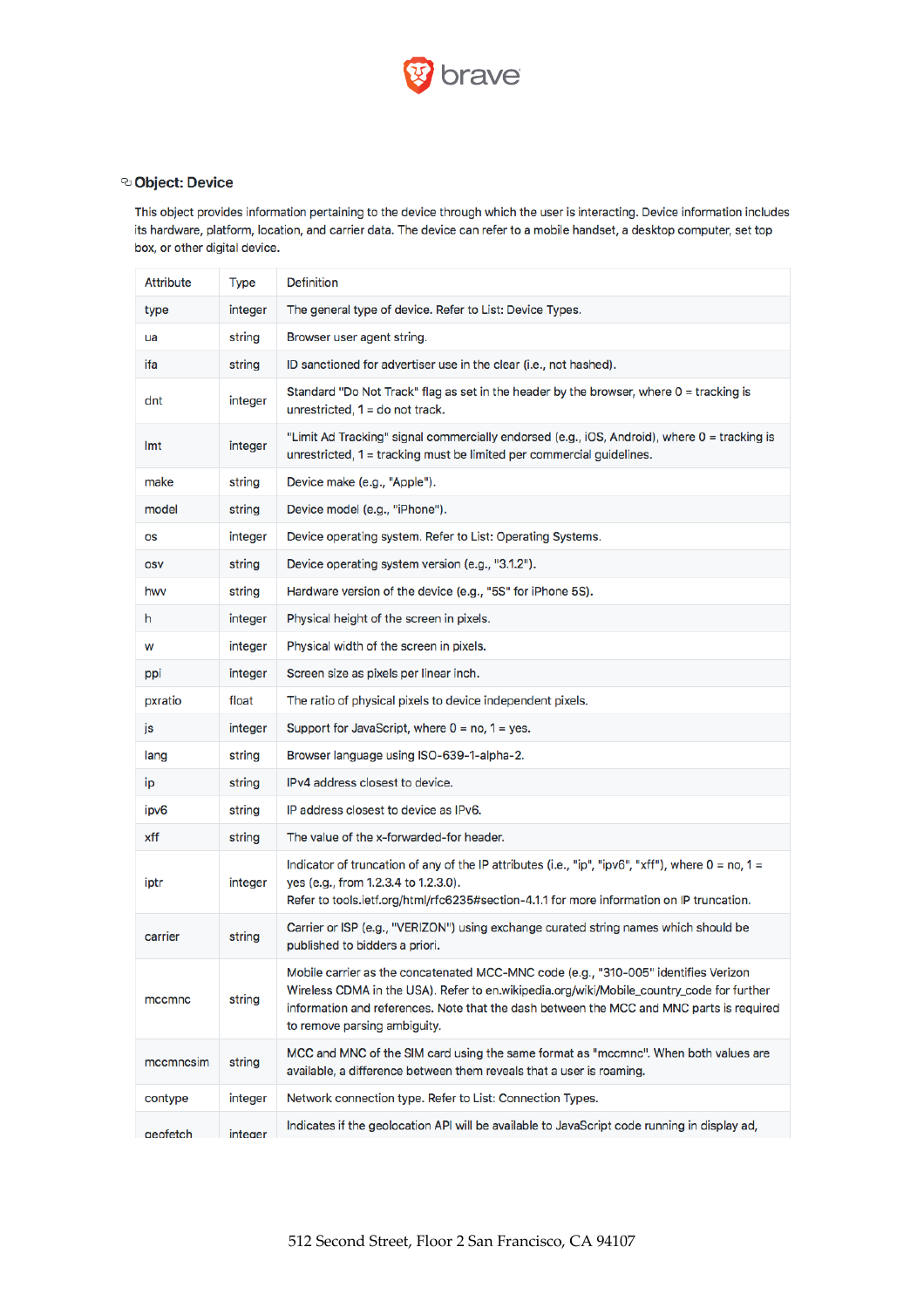

#### © Object: Device

This object provides information pertaining to the device through which the user is interacting. Device information includes its hardware, platform, location, and carrier data. The device can refer to a mobile handset, a desktop computer, set top box, or other digital device.

| <b>Attribute</b> | Type    | <b>Definition</b>                                                                                                                                                                                                                                                                                            |
|------------------|---------|--------------------------------------------------------------------------------------------------------------------------------------------------------------------------------------------------------------------------------------------------------------------------------------------------------------|
| type             | integer | The general type of device. Refer to List: Device Types.                                                                                                                                                                                                                                                     |
| ua               | string  | Browser user agent string.                                                                                                                                                                                                                                                                                   |
| ifa              | string  | ID sanctioned for advertiser use in the clear (i.e., not hashed).                                                                                                                                                                                                                                            |
| dnt              | integer | Standard "Do Not Track" flag as set in the header by the browser, where 0 = tracking is<br>unrestricted, $1 =$ do not track.                                                                                                                                                                                 |
| Imt              | integer | "Limit Ad Tracking" signal commercially endorsed (e.g., iOS, Android), where 0 = tracking is<br>unrestricted, 1 = tracking must be limited per commercial guidelines.                                                                                                                                        |
| make             | string  | Device make (e.g., "Apple").                                                                                                                                                                                                                                                                                 |
| model            | string  | Device model (e.g., "iPhone").                                                                                                                                                                                                                                                                               |
| OS               | integer | Device operating system. Refer to List: Operating Systems.                                                                                                                                                                                                                                                   |
| <b>OSV</b>       | string  | Device operating system version (e.g., "3.1.2").                                                                                                                                                                                                                                                             |
| hwy              | string  | Hardware version of the device (e.g., "5S" for iPhone 5S).                                                                                                                                                                                                                                                   |
| h                | integer | Physical height of the screen in pixels.                                                                                                                                                                                                                                                                     |
| W                | integer | Physical width of the screen in pixels.                                                                                                                                                                                                                                                                      |
| ppi              | integer | Screen size as pixels per linear inch.                                                                                                                                                                                                                                                                       |
| pxratio          | float   | The ratio of physical pixels to device independent pixels.                                                                                                                                                                                                                                                   |
| js               | integer | Support for JavaScript, where $0 = \text{no}$ , $1 = \text{yes}$ .                                                                                                                                                                                                                                           |
| lang             | string  | Browser language using ISO-639-1-alpha-2.                                                                                                                                                                                                                                                                    |
| ip               | string  | IPv4 address closest to device.                                                                                                                                                                                                                                                                              |
| ipv6             | string  | IP address closest to device as IPv6.                                                                                                                                                                                                                                                                        |
| xff              | string  | The value of the x-forwarded-for header.                                                                                                                                                                                                                                                                     |
| iptr             | integer | Indicator of truncation of any of the IP attributes (i.e., "ip", "ipv6", "xff"), where $0 = \text{no}$ , $1 =$<br>yes (e.g., from 1.2.3.4 to 1.2.3.0).<br>Refer to tools.ietf.org/html/rfc6235#section-4.1.1 for more information on IP truncation.                                                          |
| carrier          | string  | Carrier or ISP (e.g., "VERIZON") using exchange curated string names which should be<br>published to bidders a priori.                                                                                                                                                                                       |
| mccmnc           | string  | Mobile carrier as the concatenated MCC-MNC code (e.g., "310-005" identifies Verizon<br>Wireless CDMA in the USA). Refer to en.wikipedia.org/wiki/Mobile_country_code for further<br>information and references. Note that the dash between the MCC and MNC parts is required<br>to remove parsing ambiguity. |
| mccmncsim        | string  | MCC and MNC of the SIM card using the same format as "mccmnc". When both values are<br>available, a difference between them reveals that a user is roaming.                                                                                                                                                  |
| contype          | integer | Network connection type. Refer to List: Connection Types.                                                                                                                                                                                                                                                    |
| geofetch         | integer | Indicates if the geolocation API will be available to JavaScript code running in display ad,                                                                                                                                                                                                                 |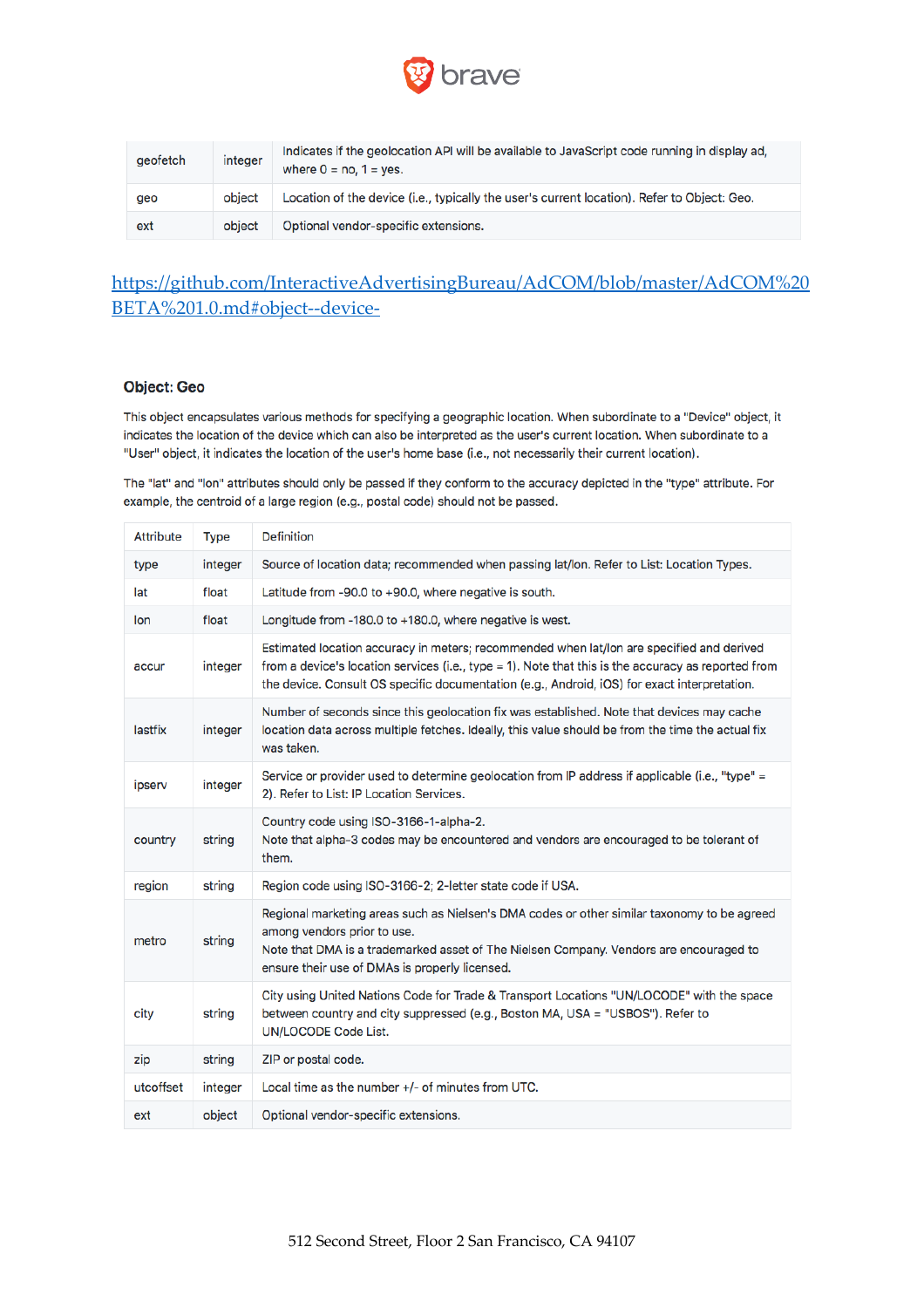

| geofetch | integer | Indicates if the geolocation API will be available to JavaScript code running in display ad,<br>where $0 = \text{no}$ , $1 = \text{yes}$ . |
|----------|---------|--------------------------------------------------------------------------------------------------------------------------------------------|
| geo      | object  | Location of the device (i.e., typically the user's current location). Refer to Object: Geo.                                                |
| ext      | object  | Optional vendor-specific extensions.                                                                                                       |

# https://github.com/InteractiveAdvertisingBureau/AdCOM/blob/master/AdCOM%20 BETA%201.0.md#object--device-

#### **Object: Geo**

This object encapsulates various methods for specifying a geographic location. When subordinate to a "Device" object, it indicates the location of the device which can also be interpreted as the user's current location. When subordinate to a "User" object, it indicates the location of the user's home base (i.e., not necessarily their current location).

The "lat" and "lon" attributes should only be passed if they conform to the accuracy depicted in the "type" attribute. For example, the centroid of a large region (e.g., postal code) should not be passed.

| <b>Attribute</b> | <b>Type</b> | <b>Definition</b>                                                                                                                                                                                                                                                                                |
|------------------|-------------|--------------------------------------------------------------------------------------------------------------------------------------------------------------------------------------------------------------------------------------------------------------------------------------------------|
| type             | integer     | Source of location data; recommended when passing lat/lon. Refer to List: Location Types.                                                                                                                                                                                                        |
| lat              | float       | Latitude from -90.0 to +90.0, where negative is south.                                                                                                                                                                                                                                           |
| lon              | float       | Longitude from -180.0 to +180.0, where negative is west.                                                                                                                                                                                                                                         |
| accur            | integer     | Estimated location accuracy in meters; recommended when lat/lon are specified and derived<br>from a device's location services (i.e., type = 1). Note that this is the accuracy as reported from<br>the device. Consult OS specific documentation (e.g., Android, iOS) for exact interpretation. |
| lastfix          | integer     | Number of seconds since this geolocation fix was established. Note that devices may cache<br>location data across multiple fetches. Ideally, this value should be from the time the actual fix<br>was taken.                                                                                     |
| ipserv           | integer     | Service or provider used to determine geolocation from IP address if applicable (i.e., "type" =<br>2). Refer to List: IP Location Services.                                                                                                                                                      |
| country          | string      | Country code using ISO-3166-1-alpha-2.<br>Note that alpha-3 codes may be encountered and vendors are encouraged to be tolerant of<br>them.                                                                                                                                                       |
| region           | string      | Region code using ISO-3166-2; 2-letter state code if USA.                                                                                                                                                                                                                                        |
| metro            | string      | Regional marketing areas such as Nielsen's DMA codes or other similar taxonomy to be agreed<br>among vendors prior to use.<br>Note that DMA is a trademarked asset of The Nielsen Company. Vendors are encouraged to<br>ensure their use of DMAs is properly licensed.                           |
| city             | string      | City using United Nations Code for Trade & Transport Locations "UN/LOCODE" with the space<br>between country and city suppressed (e.g., Boston MA, USA = "USBOS"). Refer to<br>UN/LOCODE Code List.                                                                                              |
| zip              | string      | ZIP or postal code.                                                                                                                                                                                                                                                                              |
| utcoffset        | integer     | Local time as the number +/- of minutes from UTC.                                                                                                                                                                                                                                                |
| ext              | object      | Optional vendor-specific extensions.                                                                                                                                                                                                                                                             |